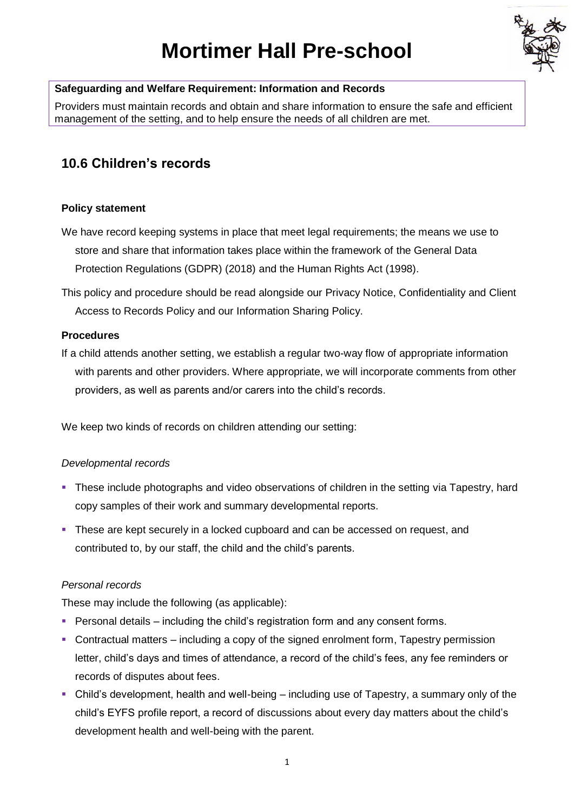# **Mortimer Hall Pre-school**



#### **Safeguarding and Welfare Requirement: Information and Records**

Providers must maintain records and obtain and share information to ensure the safe and efficient management of the setting, and to help ensure the needs of all children are met.

## **10.6 Children's records**

#### **Policy statement**

- We have record keeping systems in place that meet legal requirements; the means we use to store and share that information takes place within the framework of the General Data Protection Regulations (GDPR) (2018) and the Human Rights Act (1998).
- This policy and procedure should be read alongside our Privacy Notice, Confidentiality and Client Access to Records Policy and our Information Sharing Policy.

#### **Procedures**

If a child attends another setting, we establish a regular two-way flow of appropriate information with parents and other providers. Where appropriate, we will incorporate comments from other providers, as well as parents and/or carers into the child's records.

We keep two kinds of records on children attending our setting:

#### *Developmental records*

- **•** These include photographs and video observations of children in the setting via Tapestry, hard copy samples of their work and summary developmental reports.
- These are kept securely in a locked cupboard and can be accessed on request, and contributed to, by our staff, the child and the child's parents.

#### *Personal records*

These may include the following (as applicable):

- **Personal details including the child's registration form and any consent forms.**
- Contractual matters including a copy of the signed enrolment form, Tapestry permission letter, child's days and times of attendance, a record of the child's fees, any fee reminders or records of disputes about fees.
- Child's development, health and well-being including use of Tapestry, a summary only of the child's EYFS profile report, a record of discussions about every day matters about the child's development health and well-being with the parent.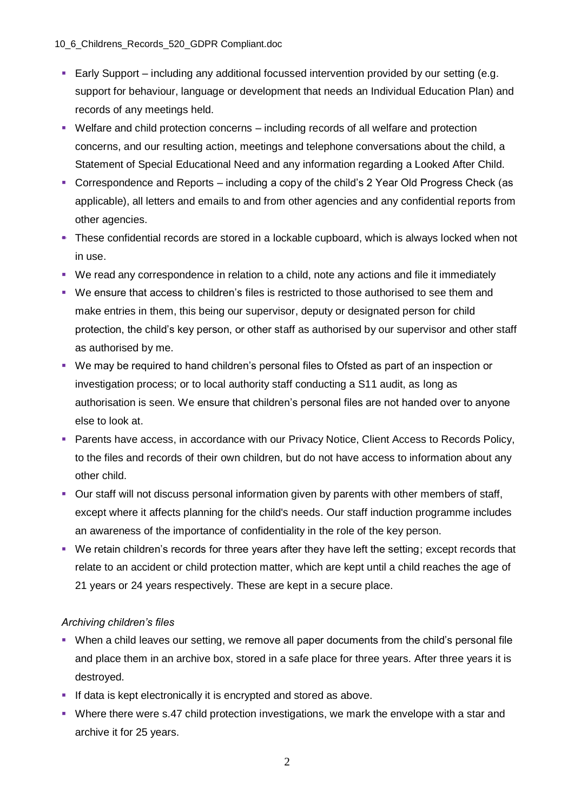- Early Support including any additional focussed intervention provided by our setting (e.g. support for behaviour, language or development that needs an Individual Education Plan) and records of any meetings held.
- Welfare and child protection concerns including records of all welfare and protection concerns, and our resulting action, meetings and telephone conversations about the child, a Statement of Special Educational Need and any information regarding a Looked After Child.
- Correspondence and Reports including a copy of the child's 2 Year Old Progress Check (as applicable), all letters and emails to and from other agencies and any confidential reports from other agencies.
- These confidential records are stored in a lockable cupboard, which is always locked when not in use.
- We read any correspondence in relation to a child, note any actions and file it immediately
- We ensure that access to children's files is restricted to those authorised to see them and make entries in them, this being our supervisor, deputy or designated person for child protection, the child's key person, or other staff as authorised by our supervisor and other staff as authorised by me.
- We may be required to hand children's personal files to Ofsted as part of an inspection or investigation process; or to local authority staff conducting a S11 audit, as long as authorisation is seen. We ensure that children's personal files are not handed over to anyone else to look at.
- Parents have access, in accordance with our Privacy Notice, Client Access to Records Policy, to the files and records of their own children, but do not have access to information about any other child.
- Our staff will not discuss personal information given by parents with other members of staff, except where it affects planning for the child's needs. Our staff induction programme includes an awareness of the importance of confidentiality in the role of the key person.
- We retain children's records for three years after they have left the setting; except records that relate to an accident or child protection matter, which are kept until a child reaches the age of 21 years or 24 years respectively. These are kept in a secure place.

### *Archiving children's files*

- When a child leaves our setting, we remove all paper documents from the child's personal file and place them in an archive box, stored in a safe place for three years. After three years it is destroyed.
- **EXTERN** If data is kept electronically it is encrypted and stored as above.
- Where there were s.47 child protection investigations, we mark the envelope with a star and archive it for 25 years.